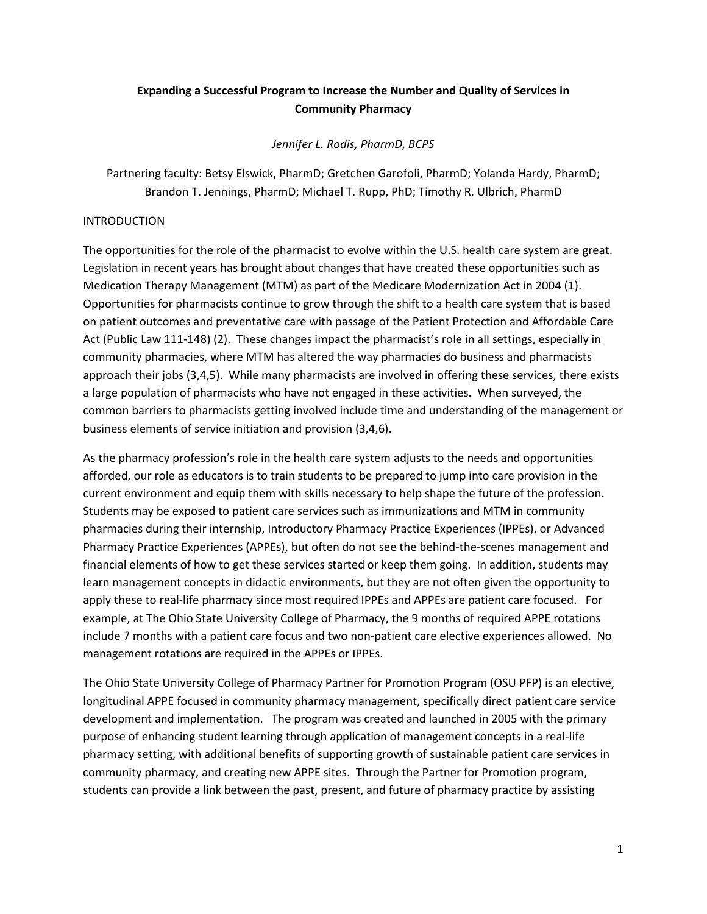# **Expanding a Successful Program to Increase the Number and Quality of Services in Community Pharmacy**

*Jennifer L. Rodis, PharmD, BCPS*

Partnering faculty: Betsy Elswick, PharmD; Gretchen Garofoli, PharmD; Yolanda Hardy, PharmD; Brandon T. Jennings, PharmD; Michael T. Rupp, PhD; Timothy R. Ulbrich, PharmD

### INTRODUCTION

The opportunities for the role of the pharmacist to evolve within the U.S. health care system are great. Legislation in recent years has brought about changes that have created these opportunities such as Medication Therapy Management (MTM) as part of the Medicare Modernization Act in 2004 (1). Opportunities for pharmacists continue to grow through the shift to a health care system that is based on patient outcomes and preventative care with passage of the Patient Protection and Affordable Care Act (Public Law 111-148) (2). These changes impact the pharmacist's role in all settings, especially in community pharmacies, where MTM has altered the way pharmacies do business and pharmacists approach their jobs (3,4,5). While many pharmacists are involved in offering these services, there exists a large population of pharmacists who have not engaged in these activities. When surveyed, the common barriers to pharmacists getting involved include time and understanding of the management or business elements of service initiation and provision (3,4,6).

As the pharmacy profession's role in the health care system adjusts to the needs and opportunities afforded, our role as educators is to train students to be prepared to jump into care provision in the current environment and equip them with skills necessary to help shape the future of the profession. Students may be exposed to patient care services such as immunizations and MTM in community pharmacies during their internship, Introductory Pharmacy Practice Experiences (IPPEs), or Advanced Pharmacy Practice Experiences (APPEs), but often do not see the behind-the-scenes management and financial elements of how to get these services started or keep them going. In addition, students may learn management concepts in didactic environments, but they are not often given the opportunity to apply these to real-life pharmacy since most required IPPEs and APPEs are patient care focused. For example, at The Ohio State University College of Pharmacy, the 9 months of required APPE rotations include 7 months with a patient care focus and two non-patient care elective experiences allowed. No management rotations are required in the APPEs or IPPEs.

The Ohio State University College of Pharmacy Partner for Promotion Program (OSU PFP) is an elective, longitudinal APPE focused in community pharmacy management, specifically direct patient care service development and implementation. The program was created and launched in 2005 with the primary purpose of enhancing student learning through application of management concepts in a real-life pharmacy setting, with additional benefits of supporting growth of sustainable patient care services in community pharmacy, and creating new APPE sites. Through the Partner for Promotion program, students can provide a link between the past, present, and future of pharmacy practice by assisting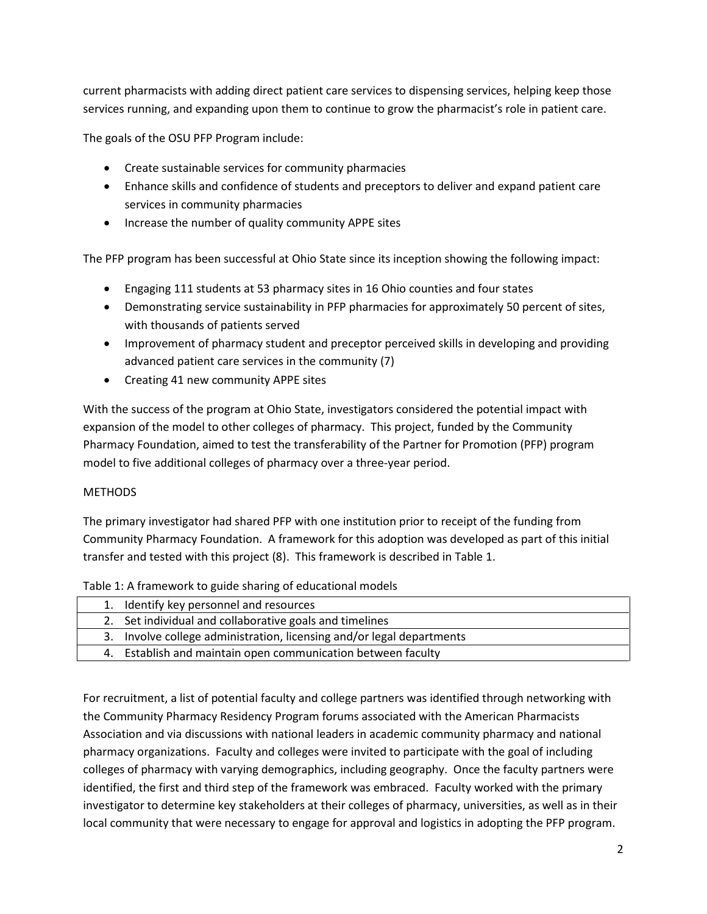current pharmacists with adding direct patient care services to dispensing services, helping keep those services running, and expanding upon them to continue to grow the pharmacist's role in patient care.

The goals of the OSU PFP Program include:

- Create sustainable services for community pharmacies
- Enhance skills and confidence of students and preceptors to deliver and expand patient care services in community pharmacies
- Increase the number of quality community APPE sites

The PFP program has been successful at Ohio State since its inception showing the following impact:

- Engaging 111 students at 53 pharmacy sites in 16 Ohio counties and four states
- Demonstrating service sustainability in PFP pharmacies for approximately 50 percent of sites, with thousands of patients served
- Improvement of pharmacy student and preceptor perceived skills in developing and providing advanced patient care services in the community (7)
- Creating 41 new community APPE sites

With the success of the program at Ohio State, investigators considered the potential impact with expansion of the model to other colleges of pharmacy. This project, funded by the Community Pharmacy Foundation, aimed to test the transferability of the Partner for Promotion (PFP) program model to five additional colleges of pharmacy over a three-year period.

# **METHODS**

The primary investigator had shared PFP with one institution prior to receipt of the funding from Community Pharmacy Foundation. A framework for this adoption was developed as part of this initial transfer and tested with this project (8). This framework is described in Table 1.

|  | Table 1: A framework to guide sharing of educational models |
|--|-------------------------------------------------------------|
|--|-------------------------------------------------------------|

| 1. Identify key personnel and resources                               |
|-----------------------------------------------------------------------|
| 2. Set individual and collaborative goals and timelines               |
| 3. Involve college administration, licensing and/or legal departments |
| 4. Establish and maintain open communication between faculty          |

For recruitment, a list of potential faculty and college partners was identified through networking with the Community Pharmacy Residency Program forums associated with the American Pharmacists Association and via discussions with national leaders in academic community pharmacy and national pharmacy organizations. Faculty and colleges were invited to participate with the goal of including colleges of pharmacy with varying demographics, including geography. Once the faculty partners were identified, the first and third step of the framework was embraced. Faculty worked with the primary investigator to determine key stakeholders at their colleges of pharmacy, universities, as well as in their local community that were necessary to engage for approval and logistics in adopting the PFP program.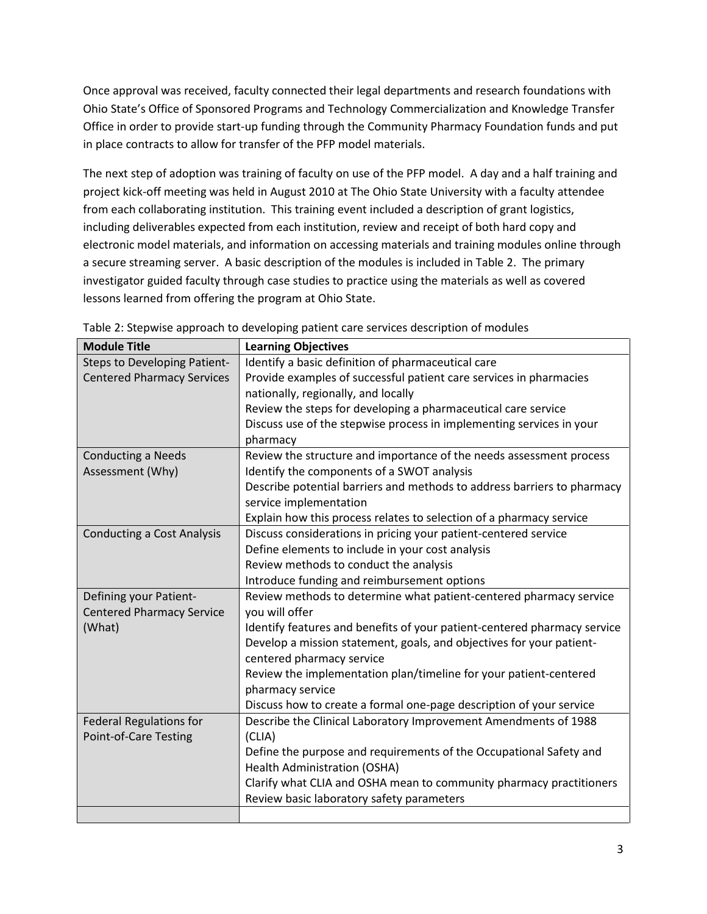Once approval was received, faculty connected their legal departments and research foundations with Ohio State's Office of Sponsored Programs and Technology Commercialization and Knowledge Transfer Office in order to provide start-up funding through the Community Pharmacy Foundation funds and put in place contracts to allow for transfer of the PFP model materials.

The next step of adoption was training of faculty on use of the PFP model. A day and a half training and project kick-off meeting was held in August 2010 at The Ohio State University with a faculty attendee from each collaborating institution. This training event included a description of grant logistics, including deliverables expected from each institution, review and receipt of both hard copy and electronic model materials, and information on accessing materials and training modules online through a secure streaming server. A basic description of the modules is included in Table 2. The primary investigator guided faculty through case studies to practice using the materials as well as covered lessons learned from offering the program at Ohio State.

| <b>Module Title</b>               | <b>Learning Objectives</b>                                               |
|-----------------------------------|--------------------------------------------------------------------------|
| Steps to Developing Patient-      | Identify a basic definition of pharmaceutical care                       |
| <b>Centered Pharmacy Services</b> | Provide examples of successful patient care services in pharmacies       |
|                                   | nationally, regionally, and locally                                      |
|                                   | Review the steps for developing a pharmaceutical care service            |
|                                   | Discuss use of the stepwise process in implementing services in your     |
|                                   | pharmacy                                                                 |
| <b>Conducting a Needs</b>         | Review the structure and importance of the needs assessment process      |
| Assessment (Why)                  | Identify the components of a SWOT analysis                               |
|                                   | Describe potential barriers and methods to address barriers to pharmacy  |
|                                   | service implementation                                                   |
|                                   | Explain how this process relates to selection of a pharmacy service      |
| <b>Conducting a Cost Analysis</b> | Discuss considerations in pricing your patient-centered service          |
|                                   | Define elements to include in your cost analysis                         |
|                                   | Review methods to conduct the analysis                                   |
|                                   | Introduce funding and reimbursement options                              |
| Defining your Patient-            | Review methods to determine what patient-centered pharmacy service       |
| <b>Centered Pharmacy Service</b>  | you will offer                                                           |
| (What)                            | Identify features and benefits of your patient-centered pharmacy service |
|                                   | Develop a mission statement, goals, and objectives for your patient-     |
|                                   | centered pharmacy service                                                |
|                                   | Review the implementation plan/timeline for your patient-centered        |
|                                   | pharmacy service                                                         |
|                                   | Discuss how to create a formal one-page description of your service      |
| <b>Federal Regulations for</b>    | Describe the Clinical Laboratory Improvement Amendments of 1988          |
| Point-of-Care Testing             | (CLIA)                                                                   |
|                                   | Define the purpose and requirements of the Occupational Safety and       |
|                                   | <b>Health Administration (OSHA)</b>                                      |
|                                   | Clarify what CLIA and OSHA mean to community pharmacy practitioners      |
|                                   | Review basic laboratory safety parameters                                |
|                                   |                                                                          |

Table 2: Stepwise approach to developing patient care services description of modules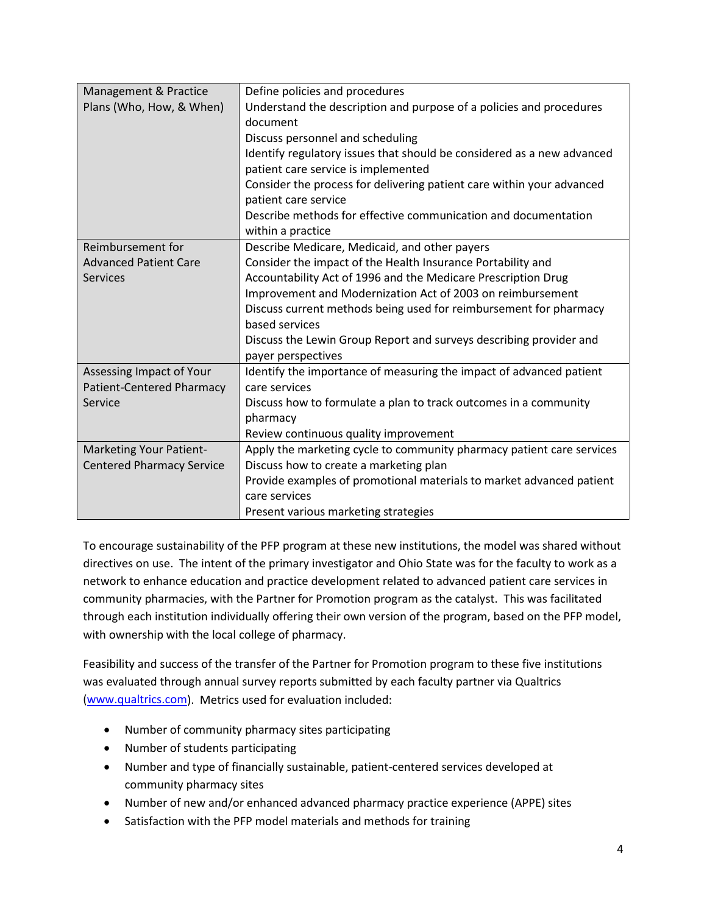| Management & Practice            | Define policies and procedures                                         |
|----------------------------------|------------------------------------------------------------------------|
| Plans (Who, How, & When)         | Understand the description and purpose of a policies and procedures    |
|                                  | document                                                               |
|                                  | Discuss personnel and scheduling                                       |
|                                  | Identify regulatory issues that should be considered as a new advanced |
|                                  | patient care service is implemented                                    |
|                                  | Consider the process for delivering patient care within your advanced  |
|                                  | patient care service                                                   |
|                                  | Describe methods for effective communication and documentation         |
|                                  | within a practice                                                      |
| Reimbursement for                | Describe Medicare, Medicaid, and other payers                          |
| <b>Advanced Patient Care</b>     | Consider the impact of the Health Insurance Portability and            |
| <b>Services</b>                  | Accountability Act of 1996 and the Medicare Prescription Drug          |
|                                  | Improvement and Modernization Act of 2003 on reimbursement             |
|                                  | Discuss current methods being used for reimbursement for pharmacy      |
|                                  | based services                                                         |
|                                  | Discuss the Lewin Group Report and surveys describing provider and     |
|                                  | payer perspectives                                                     |
| Assessing Impact of Your         | Identify the importance of measuring the impact of advanced patient    |
| <b>Patient-Centered Pharmacy</b> | care services                                                          |
| Service                          | Discuss how to formulate a plan to track outcomes in a community       |
|                                  | pharmacy                                                               |
|                                  | Review continuous quality improvement                                  |
| Marketing Your Patient-          | Apply the marketing cycle to community pharmacy patient care services  |
| <b>Centered Pharmacy Service</b> | Discuss how to create a marketing plan                                 |
|                                  | Provide examples of promotional materials to market advanced patient   |
|                                  | care services                                                          |
|                                  | Present various marketing strategies                                   |

To encourage sustainability of the PFP program at these new institutions, the model was shared without directives on use. The intent of the primary investigator and Ohio State was for the faculty to work as a network to enhance education and practice development related to advanced patient care services in community pharmacies, with the Partner for Promotion program as the catalyst. This was facilitated through each institution individually offering their own version of the program, based on the PFP model, with ownership with the local college of pharmacy.

Feasibility and success of the transfer of the Partner for Promotion program to these five institutions was evaluated through annual survey reports submitted by each faculty partner via Qualtrics [\(www.qualtrics.com\)](http://www.qualtrics.com/). Metrics used for evaluation included:

- Number of community pharmacy sites participating
- Number of students participating
- Number and type of financially sustainable, patient-centered services developed at community pharmacy sites
- Number of new and/or enhanced advanced pharmacy practice experience (APPE) sites
- Satisfaction with the PFP model materials and methods for training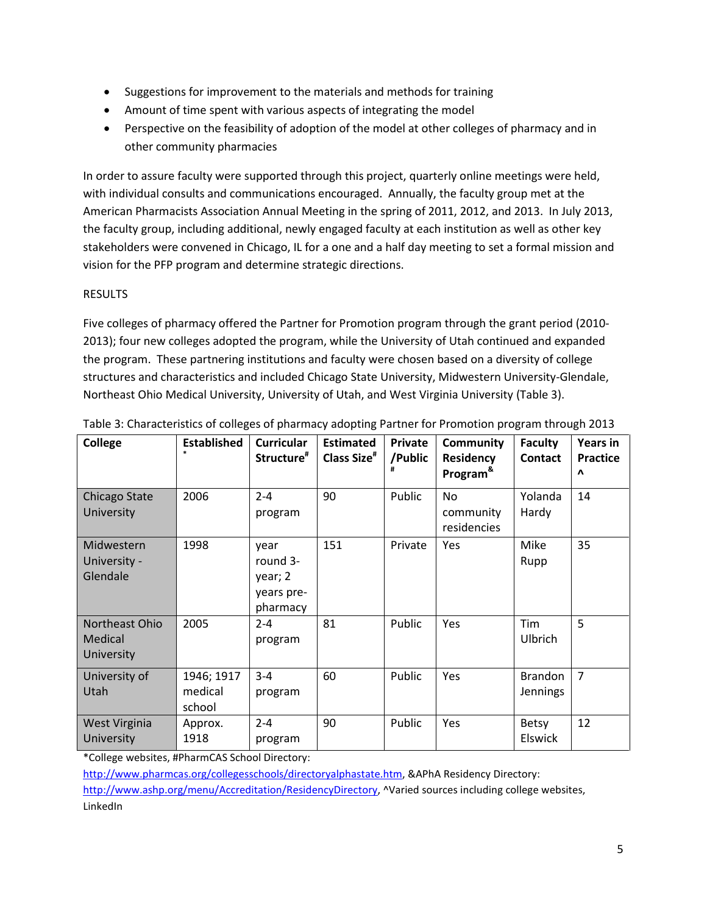- Suggestions for improvement to the materials and methods for training
- Amount of time spent with various aspects of integrating the model
- Perspective on the feasibility of adoption of the model at other colleges of pharmacy and in other community pharmacies

In order to assure faculty were supported through this project, quarterly online meetings were held, with individual consults and communications encouraged. Annually, the faculty group met at the American Pharmacists Association Annual Meeting in the spring of 2011, 2012, and 2013. In July 2013, the faculty group, including additional, newly engaged faculty at each institution as well as other key stakeholders were convened in Chicago, IL for a one and a half day meeting to set a formal mission and vision for the PFP program and determine strategic directions.

# RESULTS

Five colleges of pharmacy offered the Partner for Promotion program through the grant period (2010- 2013); four new colleges adopted the program, while the University of Utah continued and expanded the program. These partnering institutions and faculty were chosen based on a diversity of college structures and characteristics and included Chicago State University, Midwestern University-Glendale, Northeast Ohio Medical University, University of Utah, and West Virginia University (Table 3).

| College                                 | <b>Established</b>              | <b>Curricular</b><br>Structure <sup>#</sup>           | <b>Estimated</b><br>Class Size <sup>#</sup> | <b>Private</b><br>/Public | Community<br><b>Residency</b><br>Program <sup>&amp;</sup> | <b>Faculty</b><br><b>Contact</b> | <b>Years in</b><br><b>Practice</b><br>$\Lambda$ |
|-----------------------------------------|---------------------------------|-------------------------------------------------------|---------------------------------------------|---------------------------|-----------------------------------------------------------|----------------------------------|-------------------------------------------------|
| Chicago State<br>University             | 2006                            | $2 - 4$<br>program                                    | 90                                          | Public                    | <b>No</b><br>community<br>residencies                     | Yolanda<br>Hardy                 | 14                                              |
| Midwestern<br>University -<br>Glendale  | 1998                            | year<br>round 3-<br>year; 2<br>years pre-<br>pharmacy | 151                                         | Private                   | <b>Yes</b>                                                | Mike<br>Rupp                     | 35                                              |
| Northeast Ohio<br>Medical<br>University | 2005                            | $2 - 4$<br>program                                    | 81                                          | Public                    | Yes                                                       | Tim<br>Ulbrich                   | 5                                               |
| University of<br>Utah                   | 1946; 1917<br>medical<br>school | $3 - 4$<br>program                                    | 60                                          | Public                    | Yes                                                       | <b>Brandon</b><br>Jennings       | $\overline{7}$                                  |
| West Virginia<br>University             | Approx.<br>1918                 | $2 - 4$<br>program                                    | 90                                          | Public                    | Yes                                                       | <b>Betsy</b><br><b>Elswick</b>   | 12                                              |

Table 3: Characteristics of colleges of pharmacy adopting Partner for Promotion program through 2013

\*College websites, #PharmCAS School Directory:

[http://www.pharmcas.org/collegesschools/directoryalphastate.htm,](http://www.pharmcas.org/collegesschools/directoryalphastate.htm) &APhA Residency Directory:

[http://www.ashp.org/menu/Accreditation/ResidencyDirectory,](http://www.ashp.org/menu/Accreditation/ResidencyDirectory) ^Varied sources including college websites, LinkedIn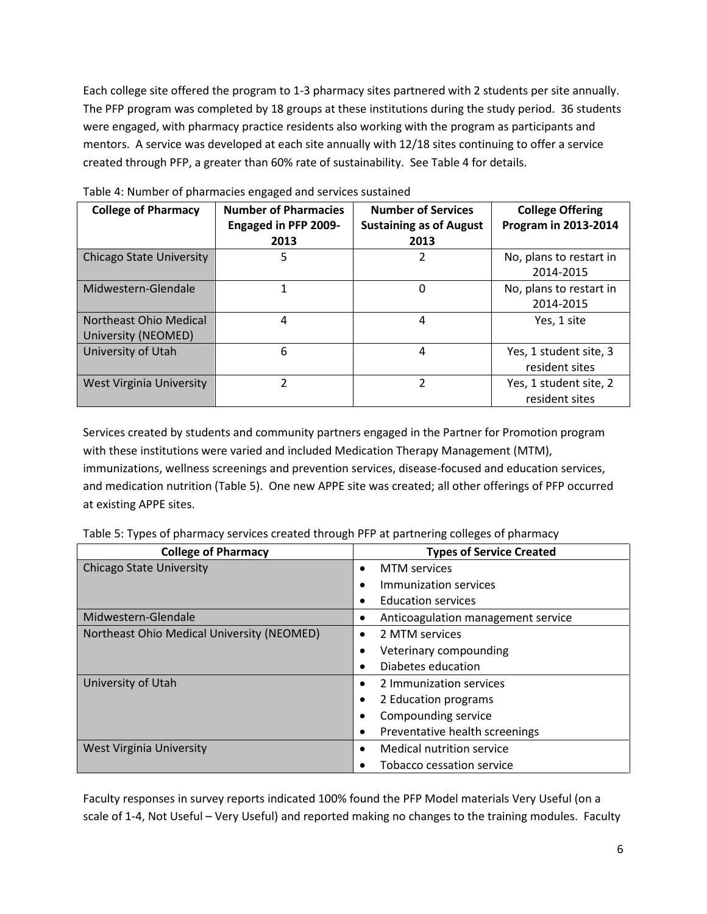Each college site offered the program to 1-3 pharmacy sites partnered with 2 students per site annually. The PFP program was completed by 18 groups at these institutions during the study period. 36 students were engaged, with pharmacy practice residents also working with the program as participants and mentors. A service was developed at each site annually with 12/18 sites continuing to offer a service created through PFP, a greater than 60% rate of sustainability. See Table 4 for details.

| <b>College of Pharmacy</b>      | <b>Number of Pharmacies</b><br><b>Engaged in PFP 2009-</b> | <b>Number of Services</b><br><b>Sustaining as of August</b> | <b>College Offering</b><br>Program in 2013-2014 |
|---------------------------------|------------------------------------------------------------|-------------------------------------------------------------|-------------------------------------------------|
|                                 | 2013                                                       | 2013                                                        |                                                 |
| <b>Chicago State University</b> | 5                                                          | 2                                                           | No, plans to restart in                         |
|                                 |                                                            |                                                             | 2014-2015                                       |
| Midwestern-Glendale             |                                                            | $\Omega$                                                    | No, plans to restart in                         |
|                                 |                                                            |                                                             | 2014-2015                                       |
| Northeast Ohio Medical          | 4                                                          | 4                                                           | Yes, 1 site                                     |
| University (NEOMED)             |                                                            |                                                             |                                                 |
| University of Utah              | 6                                                          | 4                                                           | Yes, 1 student site, 3                          |
|                                 |                                                            |                                                             | resident sites                                  |
| West Virginia University        | 2                                                          | 2                                                           | Yes, 1 student site, 2                          |
|                                 |                                                            |                                                             | resident sites                                  |

Table 4: Number of pharmacies engaged and services sustained

Services created by students and community partners engaged in the Partner for Promotion program with these institutions were varied and included Medication Therapy Management (MTM), immunizations, wellness screenings and prevention services, disease-focused and education services, and medication nutrition (Table 5). One new APPE site was created; all other offerings of PFP occurred at existing APPE sites.

|  | Table 5: Types of pharmacy services created through PFP at partnering colleges of pharmacy |
|--|--------------------------------------------------------------------------------------------|
|--|--------------------------------------------------------------------------------------------|

| <b>College of Pharmacy</b>                 | <b>Types of Service Created</b>             |
|--------------------------------------------|---------------------------------------------|
| <b>Chicago State University</b>            | <b>MTM</b> services<br>$\bullet$            |
|                                            | Immunization services<br>$\bullet$          |
|                                            | <b>Education services</b><br>$\bullet$      |
| Midwestern-Glendale                        | Anticoagulation management service<br>٠     |
| Northeast Ohio Medical University (NEOMED) | 2 MTM services<br>$\bullet$                 |
|                                            | Veterinary compounding<br>٠                 |
|                                            | Diabetes education<br>٠                     |
| University of Utah                         | 2 Immunization services<br>$\bullet$        |
|                                            | 2 Education programs<br>٠                   |
|                                            | Compounding service<br>٠                    |
|                                            | Preventative health screenings<br>$\bullet$ |
| <b>West Virginia University</b>            | Medical nutrition service<br>$\bullet$      |
|                                            | Tobacco cessation service                   |

Faculty responses in survey reports indicated 100% found the PFP Model materials Very Useful (on a scale of 1-4, Not Useful – Very Useful) and reported making no changes to the training modules. Faculty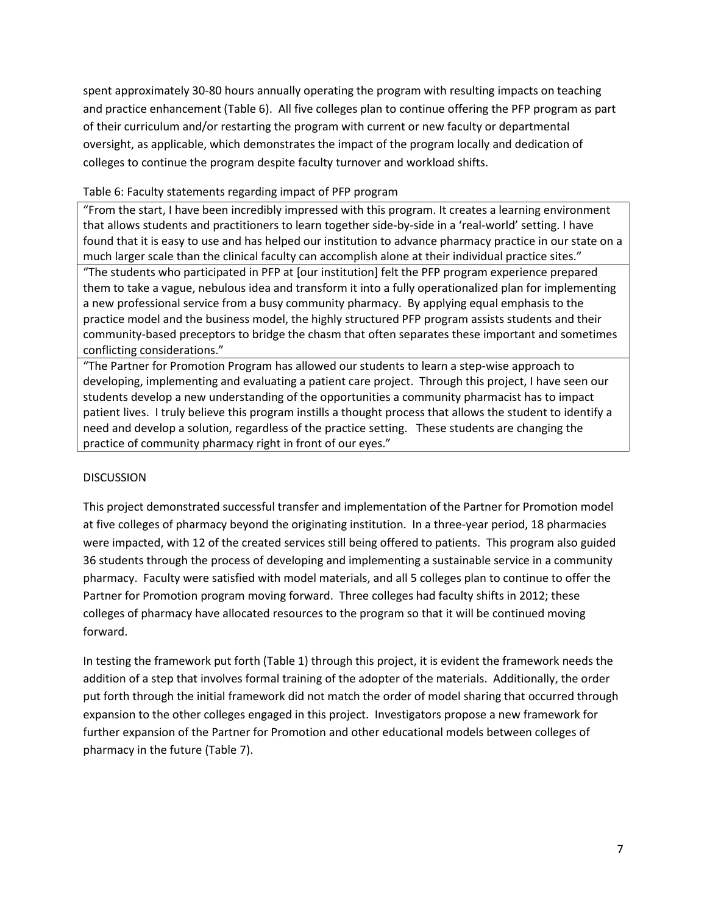spent approximately 30-80 hours annually operating the program with resulting impacts on teaching and practice enhancement (Table 6). All five colleges plan to continue offering the PFP program as part of their curriculum and/or restarting the program with current or new faculty or departmental oversight, as applicable, which demonstrates the impact of the program locally and dedication of colleges to continue the program despite faculty turnover and workload shifts.

## Table 6: Faculty statements regarding impact of PFP program

"From the start, I have been incredibly impressed with this program. It creates a learning environment that allows students and practitioners to learn together side-by-side in a 'real-world' setting. I have found that it is easy to use and has helped our institution to advance pharmacy practice in our state on a much larger scale than the clinical faculty can accomplish alone at their individual practice sites."

"The students who participated in PFP at [our institution] felt the PFP program experience prepared them to take a vague, nebulous idea and transform it into a fully operationalized plan for implementing a new professional service from a busy community pharmacy. By applying equal emphasis to the practice model and the business model, the highly structured PFP program assists students and their community-based preceptors to bridge the chasm that often separates these important and sometimes conflicting considerations."

"The Partner for Promotion Program has allowed our students to learn a step-wise approach to developing, implementing and evaluating a patient care project. Through this project, I have seen our students develop a new understanding of the opportunities a community pharmacist has to impact patient lives. I truly believe this program instills a thought process that allows the student to identify a need and develop a solution, regardless of the practice setting. These students are changing the practice of community pharmacy right in front of our eyes."

### DISCUSSION

This project demonstrated successful transfer and implementation of the Partner for Promotion model at five colleges of pharmacy beyond the originating institution. In a three-year period, 18 pharmacies were impacted, with 12 of the created services still being offered to patients. This program also guided 36 students through the process of developing and implementing a sustainable service in a community pharmacy. Faculty were satisfied with model materials, and all 5 colleges plan to continue to offer the Partner for Promotion program moving forward. Three colleges had faculty shifts in 2012; these colleges of pharmacy have allocated resources to the program so that it will be continued moving forward.

In testing the framework put forth (Table 1) through this project, it is evident the framework needs the addition of a step that involves formal training of the adopter of the materials. Additionally, the order put forth through the initial framework did not match the order of model sharing that occurred through expansion to the other colleges engaged in this project. Investigators propose a new framework for further expansion of the Partner for Promotion and other educational models between colleges of pharmacy in the future (Table 7).